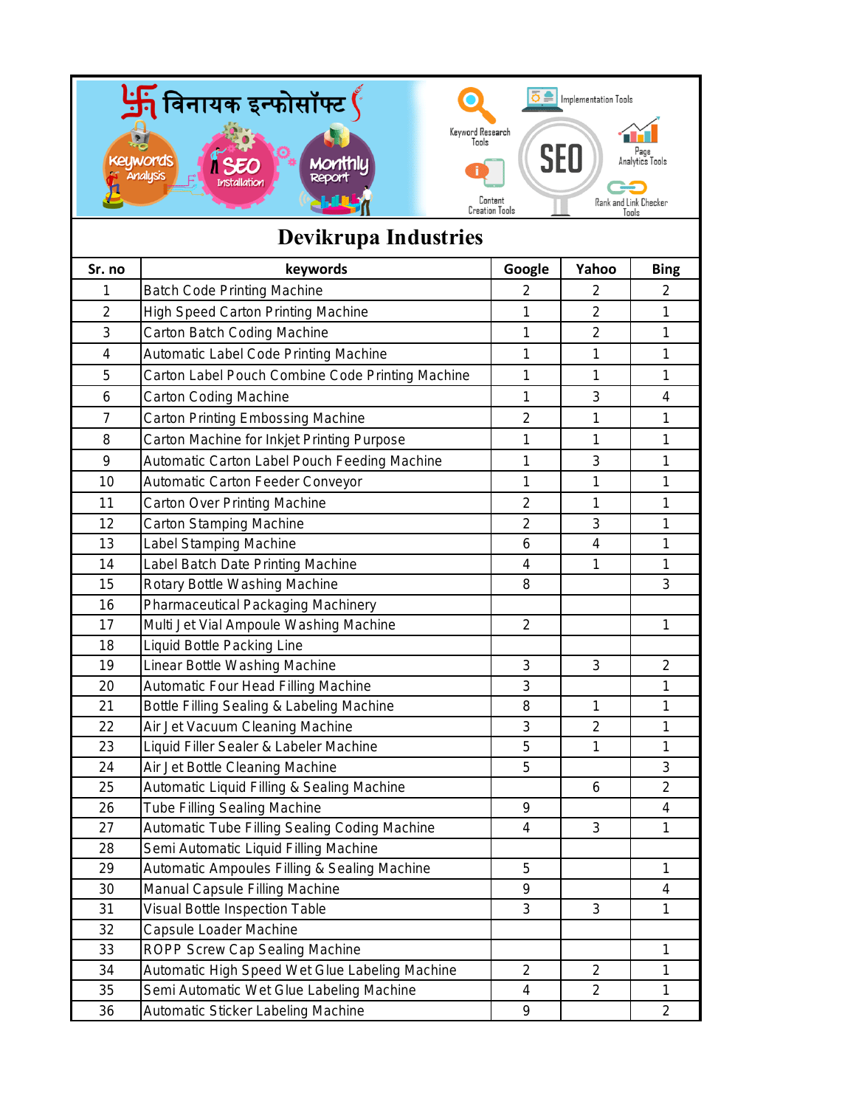

## **Devikrupa Industries**

| Sr. no         | keywords                                         | Google                  | Yahoo                    | <b>Bing</b>             |
|----------------|--------------------------------------------------|-------------------------|--------------------------|-------------------------|
| 1              | <b>Batch Code Printing Machine</b>               | $\overline{2}$          | 2                        | $\overline{2}$          |
| $\overline{2}$ | <b>High Speed Carton Printing Machine</b>        | 1                       | $\overline{2}$           | $\mathbf{1}$            |
| 3              | Carton Batch Coding Machine                      | 1                       | $\overline{2}$           | $\mathbf{1}$            |
| 4              | <b>Automatic Label Code Printing Machine</b>     | 1                       | 1                        | $\mathbf 1$             |
| 5              | Carton Label Pouch Combine Code Printing Machine | 1                       | 1                        | 1                       |
| 6              | <b>Carton Coding Machine</b>                     | 1                       | 3                        | 4                       |
| $\overline{7}$ | <b>Carton Printing Embossing Machine</b>         | $\overline{\mathbf{c}}$ | 1                        | 1                       |
| 8              | Carton Machine for Inkjet Printing Purpose       | 1                       | 1                        | $\mathbf{1}$            |
| 9              | Automatic Carton Label Pouch Feeding Machine     | 1                       | 3                        | 1                       |
| 10             | Automatic Carton Feeder Conveyor                 | 1                       | 1                        | 1                       |
| 11             | <b>Carton Over Printing Machine</b>              | $\overline{2}$          | 1                        | 1                       |
| 12             | <b>Carton Stamping Machine</b>                   | $\overline{2}$          | 3                        | 1                       |
| 13             | Label Stamping Machine                           | 6                       | $\overline{\mathcal{A}}$ | 1                       |
| 14             | Label Batch Date Printing Machine                | 4                       | 1                        | 1                       |
| 15             | Rotary Bottle Washing Machine                    | 8                       |                          | 3                       |
| 16             | <b>Pharmaceutical Packaging Machinery</b>        |                         |                          |                         |
| 17             | Multi Jet Vial Ampoule Washing Machine           | $\overline{2}$          |                          | 1                       |
| 18             | <b>Liquid Bottle Packing Line</b>                |                         |                          |                         |
| 19             | Linear Bottle Washing Machine                    | 3                       | 3                        | $\overline{2}$          |
| 20             | <b>Automatic Four Head Filling Machine</b>       | 3                       |                          | 1                       |
| 21             | Bottle Filling Sealing & Labeling Machine        | 8                       | 1                        | $\mathbf{1}$            |
| 22             | Air Jet Vacuum Cleaning Machine                  | 3                       | $\overline{2}$           | 1                       |
| 23             | Liquid Filler Sealer & Labeler Machine           | 5                       | 1                        | $\mathbf{1}$            |
| 24             | Air Jet Bottle Cleaning Machine                  | 5                       |                          | 3                       |
| 25             | Automatic Liquid Filling & Sealing Machine       |                         | 6                        | $\overline{2}$          |
| 26             | <b>Tube Filling Sealing Machine</b>              | 9                       |                          | $\overline{\mathbf{4}}$ |
| 27             | Automatic Tube Filling Sealing Coding Machine    | $\overline{\mathbf{4}}$ | 3                        | 1                       |
| 28             | Semi Automatic Liquid Filling Machine            |                         |                          |                         |
| 29             | Automatic Ampoules Filling & Sealing Machine     | 5                       |                          | 1                       |
| 30             | Manual Capsule Filling Machine                   | 9                       |                          | 4                       |
| 31             | Visual Bottle Inspection Table                   | 3                       | 3                        | 1                       |
| 32             | Capsule Loader Machine                           |                         |                          |                         |
| 33             | ROPP Screw Cap Sealing Machine                   |                         |                          | $\mathbf 1$             |
| 34             | Automatic High Speed Wet Glue Labeling Machine   | $\overline{2}$          | $\overline{2}$           | 1                       |
| 35             | Semi Automatic Wet Glue Labeling Machine         | 4                       | $\overline{2}$           | 1                       |
| 36             | Automatic Sticker Labeling Machine               | 9                       |                          | $\overline{c}$          |